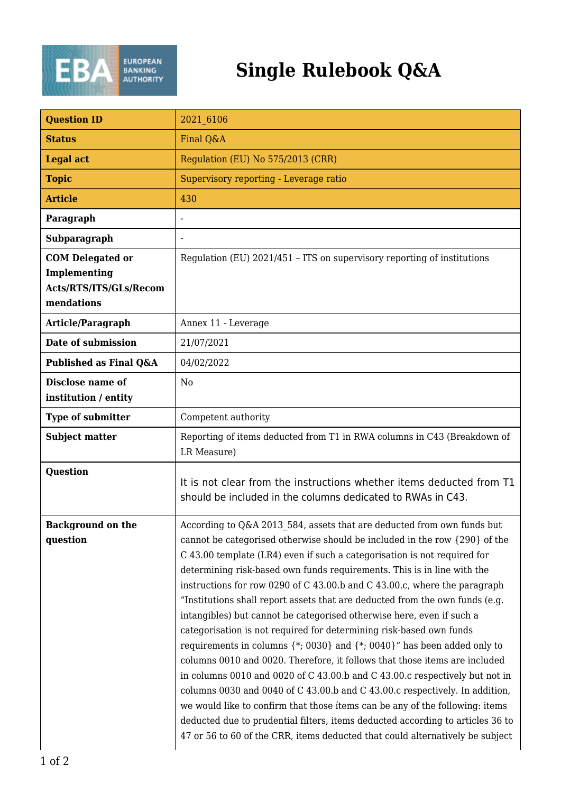

## **Single Rulebook Q&A**

| <b>Question ID</b>                                                              | 2021 6106                                                                                                                                                                                                                                                                                                                                                                                                                                                                                                                                                                                                                                                                                                                                                                                                                                                                                                                                                                                                                                                                                                                                                                                                   |
|---------------------------------------------------------------------------------|-------------------------------------------------------------------------------------------------------------------------------------------------------------------------------------------------------------------------------------------------------------------------------------------------------------------------------------------------------------------------------------------------------------------------------------------------------------------------------------------------------------------------------------------------------------------------------------------------------------------------------------------------------------------------------------------------------------------------------------------------------------------------------------------------------------------------------------------------------------------------------------------------------------------------------------------------------------------------------------------------------------------------------------------------------------------------------------------------------------------------------------------------------------------------------------------------------------|
| <b>Status</b>                                                                   | Final Q&A                                                                                                                                                                                                                                                                                                                                                                                                                                                                                                                                                                                                                                                                                                                                                                                                                                                                                                                                                                                                                                                                                                                                                                                                   |
| <b>Legal act</b>                                                                | Regulation (EU) No 575/2013 (CRR)                                                                                                                                                                                                                                                                                                                                                                                                                                                                                                                                                                                                                                                                                                                                                                                                                                                                                                                                                                                                                                                                                                                                                                           |
| <b>Topic</b>                                                                    | Supervisory reporting - Leverage ratio                                                                                                                                                                                                                                                                                                                                                                                                                                                                                                                                                                                                                                                                                                                                                                                                                                                                                                                                                                                                                                                                                                                                                                      |
| <b>Article</b>                                                                  | 430                                                                                                                                                                                                                                                                                                                                                                                                                                                                                                                                                                                                                                                                                                                                                                                                                                                                                                                                                                                                                                                                                                                                                                                                         |
| Paragraph                                                                       |                                                                                                                                                                                                                                                                                                                                                                                                                                                                                                                                                                                                                                                                                                                                                                                                                                                                                                                                                                                                                                                                                                                                                                                                             |
| Subparagraph                                                                    |                                                                                                                                                                                                                                                                                                                                                                                                                                                                                                                                                                                                                                                                                                                                                                                                                                                                                                                                                                                                                                                                                                                                                                                                             |
| <b>COM Delegated or</b><br>Implementing<br>Acts/RTS/ITS/GLs/Recom<br>mendations | Regulation (EU) 2021/451 - ITS on supervisory reporting of institutions                                                                                                                                                                                                                                                                                                                                                                                                                                                                                                                                                                                                                                                                                                                                                                                                                                                                                                                                                                                                                                                                                                                                     |
| Article/Paragraph                                                               | Annex 11 - Leverage                                                                                                                                                                                                                                                                                                                                                                                                                                                                                                                                                                                                                                                                                                                                                                                                                                                                                                                                                                                                                                                                                                                                                                                         |
| Date of submission                                                              | 21/07/2021                                                                                                                                                                                                                                                                                                                                                                                                                                                                                                                                                                                                                                                                                                                                                                                                                                                                                                                                                                                                                                                                                                                                                                                                  |
| Published as Final Q&A                                                          | 04/02/2022                                                                                                                                                                                                                                                                                                                                                                                                                                                                                                                                                                                                                                                                                                                                                                                                                                                                                                                                                                                                                                                                                                                                                                                                  |
| <b>Disclose name of</b><br>institution / entity                                 | N <sub>o</sub>                                                                                                                                                                                                                                                                                                                                                                                                                                                                                                                                                                                                                                                                                                                                                                                                                                                                                                                                                                                                                                                                                                                                                                                              |
| <b>Type of submitter</b>                                                        | Competent authority                                                                                                                                                                                                                                                                                                                                                                                                                                                                                                                                                                                                                                                                                                                                                                                                                                                                                                                                                                                                                                                                                                                                                                                         |
| <b>Subject matter</b>                                                           | Reporting of items deducted from T1 in RWA columns in C43 (Breakdown of<br>LR Measure)                                                                                                                                                                                                                                                                                                                                                                                                                                                                                                                                                                                                                                                                                                                                                                                                                                                                                                                                                                                                                                                                                                                      |
| <b>Question</b>                                                                 | It is not clear from the instructions whether items deducted from T1<br>should be included in the columns dedicated to RWAs in C43.                                                                                                                                                                                                                                                                                                                                                                                                                                                                                                                                                                                                                                                                                                                                                                                                                                                                                                                                                                                                                                                                         |
| <b>Background on the</b><br>question                                            | According to Q&A 2013 584, assets that are deducted from own funds but<br>cannot be categorised otherwise should be included in the row {290} of the<br>C 43.00 template (LR4) even if such a categorisation is not required for<br>determining risk-based own funds requirements. This is in line with the<br>instructions for row 0290 of C 43.00.b and C 43.00.c, where the paragraph<br>"Institutions shall report assets that are deducted from the own funds (e.g.<br>intangibles) but cannot be categorised otherwise here, even if such a<br>categorisation is not required for determining risk-based own funds<br>requirements in columns $\{*, 0030\}$ and $\{*, 0040\}$ " has been added only to<br>columns 0010 and 0020. Therefore, it follows that those items are included<br>in columns 0010 and 0020 of C 43.00.b and C 43.00.c respectively but not in<br>columns 0030 and 0040 of C 43.00.b and C 43.00.c respectively. In addition,<br>we would like to confirm that those items can be any of the following: items<br>deducted due to prudential filters, items deducted according to articles 36 to<br>47 or 56 to 60 of the CRR, items deducted that could alternatively be subject |